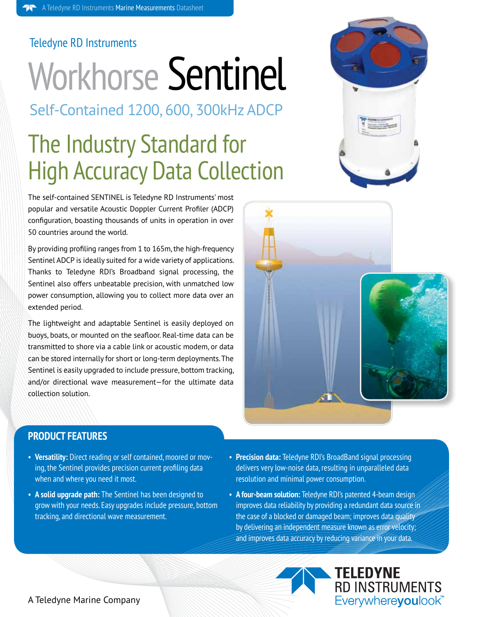#### Teledyne RD Instruments

# Workhorse Sentinel

Self-Contained 1200, 600, 300kHz ADCP

### The Industry Standard for High Accuracy Data Collection

The self-contained SENTINEL is Teledyne RD Instruments' most popular and versatile Acoustic Doppler Current Profiler (ADCP) configuration, boasting thousands of units in operation in over 50 countries around the world.

By providing profiling ranges from 1 to 165m, the high-frequency Sentinel ADCP is ideally suited for a wide variety of applications. Thanks to Teledyne RDI's Broadband signal processing, the Sentinel also offers unbeatable precision, with unmatched low power consumption, allowing you to collect more data over an extended period.

The lightweight and adaptable Sentinel is easily deployed on buoys, boats, or mounted on the seafloor. Real-time data can be transmitted to shore via a cable link or acoustic modem, or data can be stored internally for short or long-term deployments. The Sentinel is easily upgraded to include pressure, bottom tracking, and/or directional wave measurement—for the ultimate data collection solution.





#### **PRODUCT FEATURES**

- **Versatility:** Direct reading or self contained, moored or moving, the Sentinel provides precision current profiling data when and where you need it most.
- **A solid upgrade path:** The Sentinel has been designed to grow with your needs. Easy upgrades include pressure, bottom tracking, and directional wave measurement.
- **Precision data:** Teledyne RDI's BroadBand signal processing delivers very low-noise data, resulting in unparalleled data resolution and minimal power consumption.
- A four-beam solution: Teledyne RDI's patented 4-beam design improves data reliability by providing a redundant data source in the case of a blocked or damaged beam; improves data quality by delivering an independent measure known as error velocity; and improves data accuracy by reducing variance in your data.
	- **TELEDYNE**<br>RD INSTRUMENTS Everywhereyoulook<sup>\*\*</sup>

#### A Teledyne Marine Company